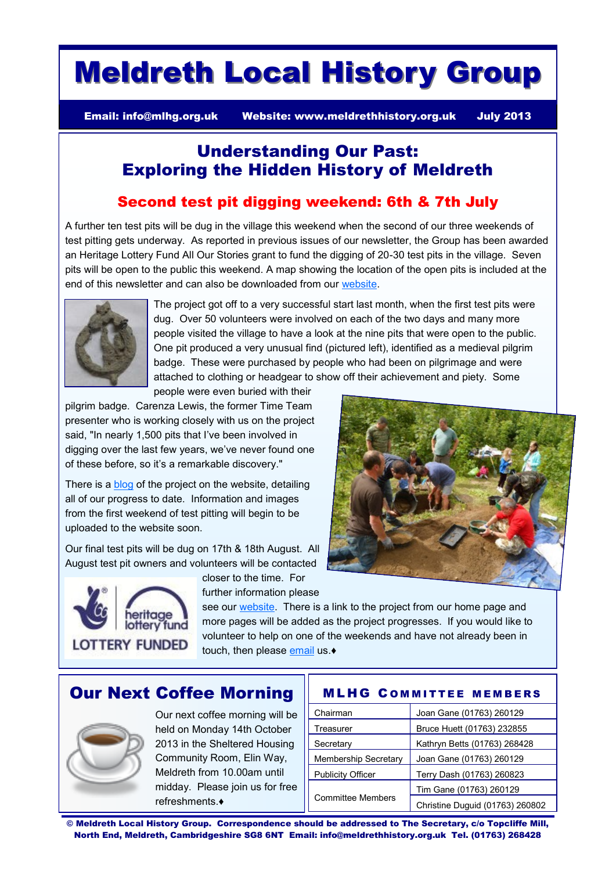# Meldreth Local History Group

Email: [info@mlhg.org.uk](mailto:info@mlhg.org.uk) Website: [www.meldrethhistory.org.uk](http://www.meldrethhistory.org.uk) July 2013

## Understanding Our Past: Exploring the Hidden History of Meldreth

#### Second test pit digging weekend: 6th & 7th July

A further ten test pits will be dug in the village this weekend when the second of our three weekends of test pitting gets underway. As reported in previous issues of our newsletter, the Group has been awarded an Heritage Lottery Fund All Our Stories grant to fund the digging of 20-30 test pits in the village. Seven pits will be open to the public this weekend. A map showing the location of the open pits is included at the end of this newsletter and can also be downloaded from our [website.](http://www.meldrethhistory.org.uk)



The project got off to a very successful start last month, when the first test pits were dug. Over 50 volunteers were involved on each of the two days and many more people visited the village to have a look at the nine pits that were open to the public. One pit produced a very unusual find (pictured left), identified as a medieval pilgrim badge. These were purchased by people who had been on pilgrimage and were attached to clothing or headgear to show off their achievement and piety. Some

people were even buried with their

pilgrim badge. Carenza Lewis, the former Time Team presenter who is working closely with us on the project said, "In nearly 1,500 pits that I've been involved in digging over the last few years, we've never found one of these before, so it's a remarkable discovery."

There is a **blog** of the project on the website, detailing all of our progress to date. Information and images from the first weekend of test pitting will begin to be uploaded to the website soon.

Our final test pits will be dug on 17th & 18th August. All August test pit owners and volunteers will be contacted



closer to the time. For

further information please see our [website.](http://www.meldrethhistory.org.uk/) There is a link to the project from our home page and more pages will be added as the project progresses. If you would like to volunteer to help on one of the weekends and have not already been in touch, then please [email](mailto:info@meldrethhistory.org.uk) us. $\bullet$ 

## Our Next Coffee Morning



Our next coffee morning will be held on Monday 14th October 2013 in the Sheltered Housing Community Room, Elin Way, Meldreth from 10.00am until midday. Please join us for free refreshments.♦

| <b>MLHG COMMITTEE MEMBERS</b> |
|-------------------------------|
|-------------------------------|

| Chairman                    | Joan Gane (01763) 260129        |
|-----------------------------|---------------------------------|
| Treasurer                   | Bruce Huett (01763) 232855      |
| Secretary                   | Kathryn Betts (01763) 268428    |
| <b>Membership Secretary</b> | Joan Gane (01763) 260129        |
| <b>Publicity Officer</b>    | Terry Dash (01763) 260823       |
|                             | Tim Gane (01763) 260129         |
| <b>Committee Members</b>    | Christine Duguid (01763) 260802 |

© Meldreth Local History Group. Correspondence should be addressed to The Secretary, c/o Topcliffe Mill, North End, Meldreth, Cambridgeshire SG8 6NT Email: info@meldrethhistory.org.uk Tel. (01763) 268428